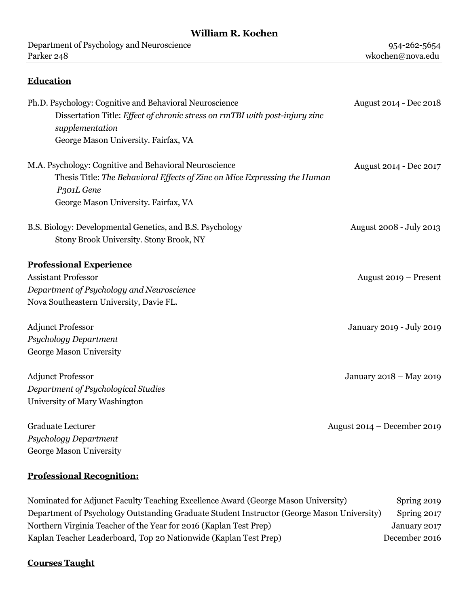# **William R. Kochen**

| Department of Psychology and Neuroscience                                                                                           | 954-262-5654                  |
|-------------------------------------------------------------------------------------------------------------------------------------|-------------------------------|
| Parker 248                                                                                                                          | wkochen@nova.edu              |
|                                                                                                                                     |                               |
| <b>Education</b>                                                                                                                    |                               |
| Ph.D. Psychology: Cognitive and Behavioral Neuroscience                                                                             | August 2014 - Dec 2018        |
| Dissertation Title: Effect of chronic stress on rmTBI with post-injury zinc<br>supplementation                                      |                               |
| George Mason University. Fairfax, VA                                                                                                |                               |
|                                                                                                                                     |                               |
| M.A. Psychology: Cognitive and Behavioral Neuroscience<br>Thesis Title: The Behavioral Effects of Zinc on Mice Expressing the Human | August 2014 - Dec 2017        |
|                                                                                                                                     |                               |
| P301L Gene                                                                                                                          |                               |
| George Mason University. Fairfax, VA                                                                                                |                               |
| B.S. Biology: Developmental Genetics, and B.S. Psychology                                                                           | August 2008 - July 2013       |
| Stony Brook University. Stony Brook, NY                                                                                             |                               |
| <b>Professional Experience</b>                                                                                                      |                               |
| <b>Assistant Professor</b>                                                                                                          | August 2019 – Present         |
| Department of Psychology and Neuroscience                                                                                           |                               |
| Nova Southeastern University, Davie FL.                                                                                             |                               |
|                                                                                                                                     |                               |
| <b>Adjunct Professor</b>                                                                                                            | January 2019 - July 2019      |
| Psychology Department                                                                                                               |                               |
| George Mason University                                                                                                             |                               |
| <b>Adjunct Professor</b>                                                                                                            | January 2018 - May 2019       |
| Department of Psychological Studies                                                                                                 |                               |
| University of Mary Washington                                                                                                       |                               |
| Graduate Lecturer                                                                                                                   | August $2014 - December 2019$ |
| <b>Psychology Department</b>                                                                                                        |                               |
|                                                                                                                                     |                               |
| George Mason University                                                                                                             |                               |
|                                                                                                                                     |                               |

# **Professional Recognition:**

| Nominated for Adjunct Faculty Teaching Excellence Award (George Mason University)          | Spring 2019   |
|--------------------------------------------------------------------------------------------|---------------|
| Department of Psychology Outstanding Graduate Student Instructor (George Mason University) | Spring 2017   |
| Northern Virginia Teacher of the Year for 2016 (Kaplan Test Prep)                          | January 2017  |
| Kaplan Teacher Leaderboard, Top 20 Nationwide (Kaplan Test Prep)                           | December 2016 |

### **Courses Taught**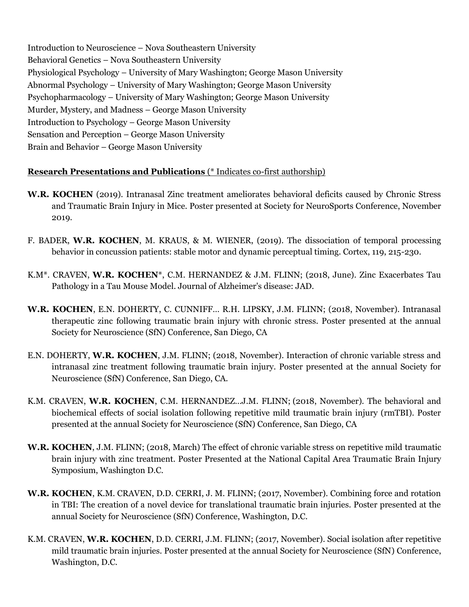Introduction to Neuroscience – Nova Southeastern University Behavioral Genetics – Nova Southeastern University Physiological Psychology – University of Mary Washington; George Mason University Abnormal Psychology – University of Mary Washington; George Mason University Psychopharmacology – University of Mary Washington; George Mason University Murder, Mystery, and Madness – George Mason University Introduction to Psychology – George Mason University Sensation and Perception – George Mason University Brain and Behavior – George Mason University

#### **Research Presentations and Publications** (\* Indicates co-first authorship)

- **W.R. KOCHEN** (2019). Intranasal Zinc treatment ameliorates behavioral deficits caused by Chronic Stress and Traumatic Brain Injury in Mice. Poster presented at Society for NeuroSports Conference, November 2019.
- F. BADER, **W.R. KOCHEN**, M. KRAUS, & M. WIENER, (2019). The dissociation of temporal processing behavior in concussion patients: stable motor and dynamic perceptual timing. Cortex, 119, 215-230.
- K.M\*. CRAVEN, **W.R. KOCHEN**\*, C.M. HERNANDEZ & J.M. FLINN; (2018, June). Zinc Exacerbates Tau Pathology in a Tau Mouse Model. Journal of Alzheimer's disease: JAD.
- **W.R. KOCHEN**, E.N. DOHERTY, C. CUNNIFF… R.H. LIPSKY, J.M. FLINN; (2018, November). Intranasal therapeutic zinc following traumatic brain injury with chronic stress. Poster presented at the annual Society for Neuroscience (SfN) Conference, San Diego, CA
- E.N. DOHERTY, **W.R. KOCHEN**, J.M. FLINN; (2018, November). Interaction of chronic variable stress and intranasal zinc treatment following traumatic brain injury. Poster presented at the annual Society for Neuroscience (SfN) Conference, San Diego, CA.
- K.M. CRAVEN, **W.R. KOCHEN**, C.M. HERNANDEZ…J.M. FLINN; (2018, November). The behavioral and biochemical effects of social isolation following repetitive mild traumatic brain injury (rmTBI). Poster presented at the annual Society for Neuroscience (SfN) Conference, San Diego, CA
- **W.R. KOCHEN**, J.M. FLINN; (2018, March) The effect of chronic variable stress on repetitive mild traumatic brain injury with zinc treatment. Poster Presented at the National Capital Area Traumatic Brain Injury Symposium, Washington D.C.
- **W.R. KOCHEN**, K.M. CRAVEN, D.D. CERRI, J. M. FLINN; (2017, November). Combining force and rotation in TBI: The creation of a novel device for translational traumatic brain injuries. Poster presented at the annual Society for Neuroscience (SfN) Conference, Washington, D.C.
- K.M. CRAVEN, **W.R. KOCHEN**, D.D. CERRI, J.M. FLINN; (2017, November). Social isolation after repetitive mild traumatic brain injuries. Poster presented at the annual Society for Neuroscience (SfN) Conference, Washington, D.C.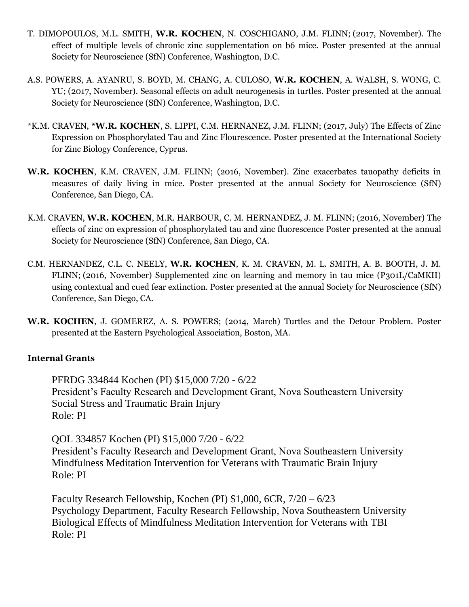- T. DIMOPOULOS, M.L. SMITH, **W.R. KOCHEN**, N. COSCHIGANO, J.M. FLINN; (2017, November). The effect of multiple levels of chronic zinc supplementation on b6 mice. Poster presented at the annual Society for Neuroscience (SfN) Conference, Washington, D.C.
- A.S. POWERS, A. AYANRU, S. BOYD, M. CHANG, A. CULOSO, **W.R. KOCHEN**, A. WALSH, S. WONG, C. YU; (2017, November). Seasonal effects on adult neurogenesis in turtles. Poster presented at the annual Society for Neuroscience (SfN) Conference, Washington, D.C.
- \*K.M. CRAVEN, **\*W.R. KOCHEN**, S. LIPPI, C.M. HERNANEZ, J.M. FLINN; (2017, July) The Effects of Zinc Expression on Phosphorylated Tau and Zinc Flourescence. Poster presented at the International Society for Zinc Biology Conference, Cyprus.
- **W.R. KOCHEN**, K.M. CRAVEN, J.M. FLINN; (2016, November). Zinc exacerbates tauopathy deficits in measures of daily living in mice. Poster presented at the annual Society for Neuroscience (SfN) Conference, San Diego, CA.
- K.M. CRAVEN, **W.R. KOCHEN**, M.R. HARBOUR, C. M. HERNANDEZ, J. M. FLINN; (2016, November) The effects of zinc on expression of phosphorylated tau and zinc fluorescence Poster presented at the annual Society for Neuroscience (SfN) Conference, San Diego, CA.
- C.M. HERNANDEZ, C.L. C. NEELY, **W.R. KOCHEN**, K. M. CRAVEN, M. L. SMITH, A. B. BOOTH, J. M. FLINN; (2016, November) Supplemented zinc on learning and memory in tau mice (P301L/CaMKII) using contextual and cued fear extinction. Poster presented at the annual Society for Neuroscience (SfN) Conference, San Diego, CA.
- **W.R. KOCHEN**, J. GOMEREZ, A. S. POWERS; (2014, March) Turtles and the Detour Problem. Poster presented at the Eastern Psychological Association, Boston, MA.

#### **Internal Grants**

PFRDG 334844 Kochen (PI) \$15,000 7/20 - 6/22 President's Faculty Research and Development Grant, Nova Southeastern University Social Stress and Traumatic Brain Injury Role: PI

QOL 334857 Kochen (PI) \$15,000 7/20 - 6/22 President's Faculty Research and Development Grant, Nova Southeastern University Mindfulness Meditation Intervention for Veterans with Traumatic Brain Injury Role: PI

Faculty Research Fellowship, Kochen (PI) \$1,000, 6CR, 7/20 – 6/23 Psychology Department, Faculty Research Fellowship, Nova Southeastern University Biological Effects of Mindfulness Meditation Intervention for Veterans with TBI Role: PI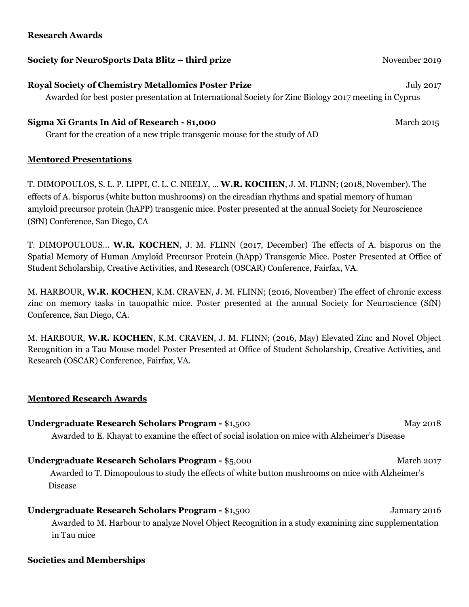#### **Research Awards**

#### **Society for NeuroSports Data Blitz – third prize <b>Society and Society for NeuroSports Data Blitz – third prize**

**Royal Society of Chemistry Metallomics Poster Prize July 2017** *July 2017* Awarded for best poster presentation at International Society for Zinc Biology 2017 meeting in Cyprus

#### **Sigma Xi Grants In Aid of Research - \$1,000** March 2015

Grant for the creation of a new triple transgenic mouse for the study of AD

#### **Mentored Presentations**

T. DIMOPOULOS, S. L. P. LIPPI, C. L. C. NEELY, … **W.R. KOCHEN**, J. M. FLINN; (2018, November). The effects of A. bisporus (white button mushrooms) on the circadian rhythms and spatial memory of human amyloid precursor protein (hAPP) transgenic mice. Poster presented at the annual Society for Neuroscience (SfN) Conference, San Diego, CA

T. DIMOPOULOUS… **W.R. KOCHEN**, J. M. FLINN (2017, December) The effects of A. bisporus on the Spatial Memory of Human Amyloid Precursor Protein (hApp) Transgenic Mice. Poster Presented at Office of Student Scholarship, Creative Activities, and Research (OSCAR) Conference, Fairfax, VA.

M. HARBOUR, **W.R. KOCHEN**, K.M. CRAVEN, J. M. FLINN; (2016, November) The effect of chronic excess zinc on memory tasks in tauopathic mice. Poster presented at the annual Society for Neuroscience (SfN) Conference, San Diego, CA.

M. HARBOUR, **W.R. KOCHEN**, K.M. CRAVEN, J. M. FLINN; (2016, May) Elevated Zinc and Novel Object Recognition in a Tau Mouse model Poster Presented at Office of Student Scholarship, Creative Activities, and Research (OSCAR) Conference, Fairfax, VA.

#### **Mentored Research Awards**

| <b>Undergraduate Research Scholars Program - \$1,500</b>                                                       | <b>May 2018</b> |
|----------------------------------------------------------------------------------------------------------------|-----------------|
| Awarded to E. Khayat to examine the effect of social isolation on mice with Alzheimer's Disease                |                 |
| <b>Undergraduate Research Scholars Program - \$5,000</b>                                                       | March 2017      |
| in the most in the control of the control of the control of the control of the control of the control of the c |                 |

Awarded to T. Dimopoulous to study the effects of white button mushrooms on mice with Alzheimer's Disease

## **Undergraduate Research Scholars Program -** \$1,500 January 2016 Awarded to M. Harbour to analyze Novel Object Recognition in a study examining zinc supplementation in Tau mice

#### **Societies and Memberships**